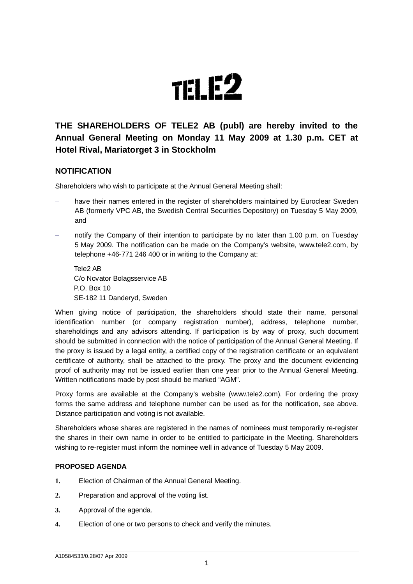

# **THE SHAREHOLDERS OF TELE2 AB (publ) are hereby invited to the Annual General Meeting on Monday 11 May 2009 at 1.30 p.m. CET at Hotel Rival, Mariatorget 3 in Stockholm**

# **NOTIFICATION**

Shareholders who wish to participate at the Annual General Meeting shall:

- have their names entered in the register of shareholders maintained by Euroclear Sweden AB (formerly VPC AB, the Swedish Central Securities Depository) on Tuesday 5 May 2009, and
- notify the Company of their intention to participate by no later than 1.00 p.m. on Tuesday 5 May 2009. The notification can be made on the Company's website, www.tele2.com, by telephone +46-771 246 400 or in writing to the Company at:

Tele2 AB C/o Novator Bolagsservice AB P.O. Box 10 SE-182 11 Danderyd, Sweden

When giving notice of participation, the shareholders should state their name, personal identification number (or company registration number), address, telephone number, shareholdings and any advisors attending. If participation is by way of proxy, such document should be submitted in connection with the notice of participation of the Annual General Meeting. If the proxy is issued by a legal entity, a certified copy of the registration certificate or an equivalent certificate of authority, shall be attached to the proxy. The proxy and the document evidencing proof of authority may not be issued earlier than one year prior to the Annual General Meeting. Written notifications made by post should be marked "AGM".

Proxy forms are available at the Company's website (www.tele2.com). For ordering the proxy forms the same address and telephone number can be used as for the notification, see above. Distance participation and voting is not available.

Shareholders whose shares are registered in the names of nominees must temporarily re-register the shares in their own name in order to be entitled to participate in the Meeting. Shareholders wishing to re-register must inform the nominee well in advance of Tuesday 5 May 2009.

#### **PROPOSED AGENDA**

- **1.** Election of Chairman of the Annual General Meeting.
- **2.** Preparation and approval of the voting list.
- **3.** Approval of the agenda.
- **4.** Election of one or two persons to check and verify the minutes.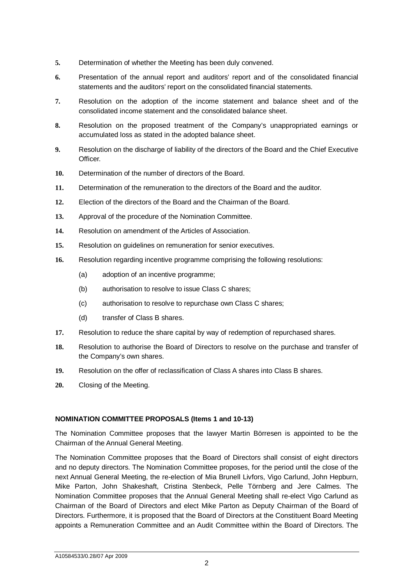- **5.** Determination of whether the Meeting has been duly convened.
- **6.** Presentation of the annual report and auditors' report and of the consolidated financial statements and the auditors' report on the consolidated financial statements.
- **7.** Resolution on the adoption of the income statement and balance sheet and of the consolidated income statement and the consolidated balance sheet.
- **8.** Resolution on the proposed treatment of the Company's unappropriated earnings or accumulated loss as stated in the adopted balance sheet.
- **9.** Resolution on the discharge of liability of the directors of the Board and the Chief Executive **Officer**
- **10.** Determination of the number of directors of the Board.
- **11.** Determination of the remuneration to the directors of the Board and the auditor.
- **12.** Election of the directors of the Board and the Chairman of the Board.
- **13.** Approval of the procedure of the Nomination Committee.
- **14.** Resolution on amendment of the Articles of Association.
- **15.** Resolution on guidelines on remuneration for senior executives.
- **16.** Resolution regarding incentive programme comprising the following resolutions:
	- (a) adoption of an incentive programme;
	- (b) authorisation to resolve to issue Class C shares;
	- (c) authorisation to resolve to repurchase own Class C shares;
	- (d) transfer of Class B shares.
- **17.** Resolution to reduce the share capital by way of redemption of repurchased shares.
- **18.** Resolution to authorise the Board of Directors to resolve on the purchase and transfer of the Company's own shares.
- **19.** Resolution on the offer of reclassification of Class A shares into Class B shares.
- **20.** Closing of the Meeting.

#### **NOMINATION COMMITTEE PROPOSALS (Items 1 and 10-13)**

The Nomination Committee proposes that the lawyer Martin Börresen is appointed to be the Chairman of the Annual General Meeting.

The Nomination Committee proposes that the Board of Directors shall consist of eight directors and no deputy directors. The Nomination Committee proposes, for the period until the close of the next Annual General Meeting, the re-election of Mia Brunell Livfors, Vigo Carlund, John Hepburn, Mike Parton, John Shakeshaft, Cristina Stenbeck, Pelle Törnberg and Jere Calmes. The Nomination Committee proposes that the Annual General Meeting shall re-elect Vigo Carlund as Chairman of the Board of Directors and elect Mike Parton as Deputy Chairman of the Board of Directors. Furthermore, it is proposed that the Board of Directors at the Constituent Board Meeting appoints a Remuneration Committee and an Audit Committee within the Board of Directors. The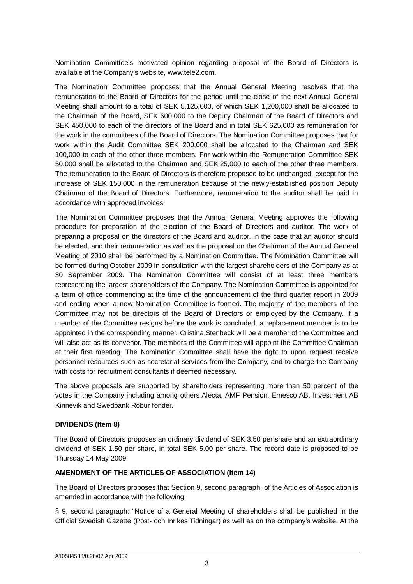Nomination Committee's motivated opinion regarding proposal of the Board of Directors is available at the Company's website, www.tele2.com.

The Nomination Committee proposes that the Annual General Meeting resolves that the remuneration to the Board of Directors for the period until the close of the next Annual General Meeting shall amount to a total of SEK 5,125,000, of which SEK 1,200,000 shall be allocated to the Chairman of the Board, SEK 600,000 to the Deputy Chairman of the Board of Directors and SEK 450,000 to each of the directors of the Board and in total SEK 625,000 as remuneration for the work in the committees of the Board of Directors. The Nomination Committee proposes that for work within the Audit Committee SEK 200,000 shall be allocated to the Chairman and SEK 100,000 to each of the other three members. For work within the Remuneration Committee SEK 50,000 shall be allocated to the Chairman and SEK 25,000 to each of the other three members. The remuneration to the Board of Directors is therefore proposed to be unchanged, except for the increase of SEK 150,000 in the remuneration because of the newly-established position Deputy Chairman of the Board of Directors. Furthermore, remuneration to the auditor shall be paid in accordance with approved invoices.

The Nomination Committee proposes that the Annual General Meeting approves the following procedure for preparation of the election of the Board of Directors and auditor. The work of preparing a proposal on the directors of the Board and auditor, in the case that an auditor should be elected, and their remuneration as well as the proposal on the Chairman of the Annual General Meeting of 2010 shall be performed by a Nomination Committee. The Nomination Committee will be formed during October 2009 in consultation with the largest shareholders of the Company as at 30 September 2009. The Nomination Committee will consist of at least three members representing the largest shareholders of the Company. The Nomination Committee is appointed for a term of office commencing at the time of the announcement of the third quarter report in 2009 and ending when a new Nomination Committee is formed. The majority of the members of the Committee may not be directors of the Board of Directors or employed by the Company. If a member of the Committee resigns before the work is concluded, a replacement member is to be appointed in the corresponding manner. Cristina Stenbeck will be a member of the Committee and will also act as its convenor. The members of the Committee will appoint the Committee Chairman at their first meeting. The Nomination Committee shall have the right to upon request receive personnel resources such as secretarial services from the Company, and to charge the Company with costs for recruitment consultants if deemed necessary.

The above proposals are supported by shareholders representing more than 50 percent of the votes in the Company including among others Alecta, AMF Pension, Emesco AB, Investment AB Kinnevik and Swedbank Robur fonder.

## **DIVIDENDS (Item 8)**

The Board of Directors proposes an ordinary dividend of SEK 3.50 per share and an extraordinary dividend of SEK 1.50 per share, in total SEK 5.00 per share. The record date is proposed to be Thursday 14 May 2009.

## **AMENDMENT OF THE ARTICLES OF ASSOCIATION (Item 14)**

The Board of Directors proposes that Section 9, second paragraph, of the Articles of Association is amended in accordance with the following:

§ 9, second paragraph: "Notice of a General Meeting of shareholders shall be published in the Official Swedish Gazette (Post- och Inrikes Tidningar) as well as on the company's website. At the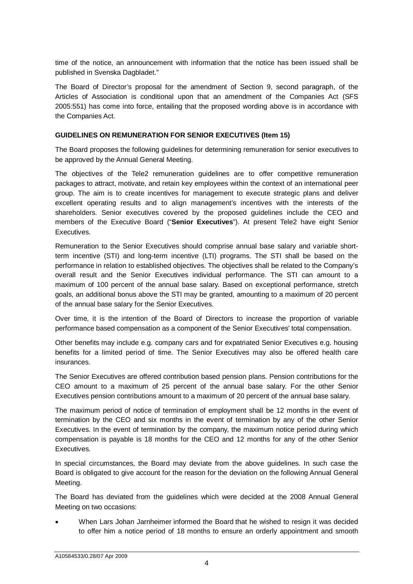time of the notice, an announcement with information that the notice has been issued shall be published in Svenska Dagbladet."

The Board of Director's proposal for the amendment of Section 9, second paragraph, of the Articles of Association is conditional upon that an amendment of the Companies Act (SFS 2005:551) has come into force, entailing that the proposed wording above is in accordance with the Companies Act.

#### **GUIDELINES ON REMUNERATION FOR SENIOR EXECUTIVES (Item 15)**

The Board proposes the following guidelines for determining remuneration for senior executives to be approved by the Annual General Meeting.

The objectives of the Tele2 remuneration guidelines are to offer competitive remuneration packages to attract, motivate, and retain key employees within the context of an international peer group. The aim is to create incentives for management to execute strategic plans and deliver excellent operating results and to align management's incentives with the interests of the shareholders. Senior executives covered by the proposed guidelines include the CEO and members of the Executive Board ("**Senior Executives**"). At present Tele2 have eight Senior Executives.

Remuneration to the Senior Executives should comprise annual base salary and variable shortterm incentive (STI) and long-term incentive (LTI) programs. The STI shall be based on the performance in relation to established objectives. The objectives shall be related to the Company's overall result and the Senior Executives individual performance. The STI can amount to a maximum of 100 percent of the annual base salary. Based on exceptional performance, stretch goals, an additional bonus above the STI may be granted, amounting to a maximum of 20 percent of the annual base salary for the Senior Executives.

Over time, it is the intention of the Board of Directors to increase the proportion of variable performance based compensation as a component of the Senior Executives' total compensation.

Other benefits may include e.g. company cars and for expatriated Senior Executives e.g. housing benefits for a limited period of time. The Senior Executives may also be offered health care insurances.

The Senior Executives are offered contribution based pension plans. Pension contributions for the CEO amount to a maximum of 25 percent of the annual base salary. For the other Senior Executives pension contributions amount to a maximum of 20 percent of the annual base salary.

The maximum period of notice of termination of employment shall be 12 months in the event of termination by the CEO and six months in the event of termination by any of the other Senior Executives. In the event of termination by the company, the maximum notice period during which compensation is payable is 18 months for the CEO and 12 months for any of the other Senior Executives.

In special circumstances, the Board may deviate from the above guidelines. In such case the Board is obligated to give account for the reason for the deviation on the following Annual General Meeting.

The Board has deviated from the guidelines which were decided at the 2008 Annual General Meeting on two occasions:

 When Lars Johan Jarnheimer informed the Board that he wished to resign it was decided to offer him a notice period of 18 months to ensure an orderly appointment and smooth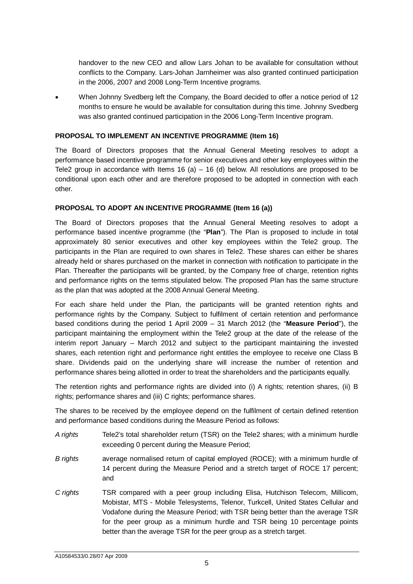handover to the new CEO and allow Lars Johan to be available for consultation without conflicts to the Company. Lars-Johan Jarnheimer was also granted continued participation in the 2006, 2007 and 2008 Long-Term Incentive programs.

 When Johnny Svedberg left the Company, the Board decided to offer a notice period of 12 months to ensure he would be available for consultation during this time. Johnny Svedberg was also granted continued participation in the 2006 Long-Term Incentive program.

#### **PROPOSAL TO IMPLEMENT AN INCENTIVE PROGRAMME (Item 16)**

The Board of Directors proposes that the Annual General Meeting resolves to adopt a performance based incentive programme for senior executives and other key employees within the Tele2 group in accordance with Items 16 (a)  $-$  16 (d) below. All resolutions are proposed to be conditional upon each other and are therefore proposed to be adopted in connection with each other.

## **PROPOSAL TO ADOPT AN INCENTIVE PROGRAMME (Item 16 (a))**

The Board of Directors proposes that the Annual General Meeting resolves to adopt a performance based incentive programme (the "**Plan**"). The Plan is proposed to include in total approximately 80 senior executives and other key employees within the Tele2 group. The participants in the Plan are required to own shares in Tele2. These shares can either be shares already held or shares purchased on the market in connection with notification to participate in the Plan. Thereafter the participants will be granted, by the Company free of charge, retention rights and performance rights on the terms stipulated below. The proposed Plan has the same structure as the plan that was adopted at the 2008 Annual General Meeting.

For each share held under the Plan, the participants will be granted retention rights and performance rights by the Company. Subject to fulfilment of certain retention and performance based conditions during the period 1 April 2009 – 31 March 2012 (the "**Measure Period**"), the participant maintaining the employment within the Tele2 group at the date of the release of the interim report January – March 2012 and subject to the participant maintaining the invested shares, each retention right and performance right entitles the employee to receive one Class B share. Dividends paid on the underlying share will increase the number of retention and performance shares being allotted in order to treat the shareholders and the participants equally.

The retention rights and performance rights are divided into (i) A rights; retention shares, (ii) B rights; performance shares and (iii) C rights; performance shares.

The shares to be received by the employee depend on the fulfilment of certain defined retention and performance based conditions during the Measure Period as follows:

- *A rights* Tele2's total shareholder return (TSR) on the Tele2 shares; with a minimum hurdle exceeding 0 percent during the Measure Period;
- *B rights* average normalised return of capital employed (ROCE); with a minimum hurdle of 14 percent during the Measure Period and a stretch target of ROCE 17 percent; and
- *C rights* TSR compared with a peer group including Elisa, Hutchison Telecom, Millicom, Mobistar, MTS - Mobile Telesystems, Telenor, Turkcell, United States Cellular and Vodafone during the Measure Period; with TSR being better than the average TSR for the peer group as a minimum hurdle and TSR being 10 percentage points better than the average TSR for the peer group as a stretch target.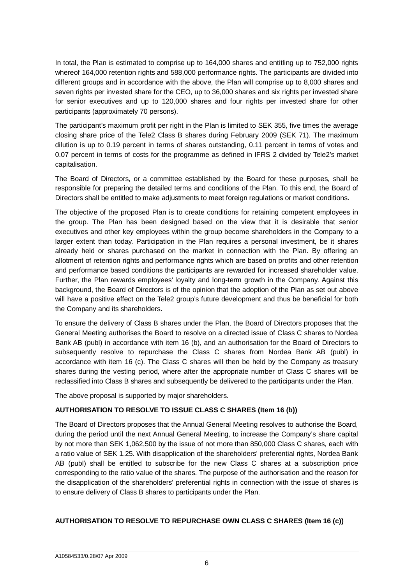In total, the Plan is estimated to comprise up to 164,000 shares and entitling up to 752,000 rights whereof 164,000 retention rights and 588,000 performance rights. The participants are divided into different groups and in accordance with the above, the Plan will comprise up to 8,000 shares and seven rights per invested share for the CEO, up to 36,000 shares and six rights per invested share for senior executives and up to 120,000 shares and four rights per invested share for other participants (approximately 70 persons).

The participant's maximum profit per right in the Plan is limited to SEK 355, five times the average closing share price of the Tele2 Class B shares during February 2009 (SEK 71). The maximum dilution is up to 0.19 percent in terms of shares outstanding, 0.11 percent in terms of votes and 0.07 percent in terms of costs for the programme as defined in IFRS 2 divided by Tele2's market capitalisation.

The Board of Directors, or a committee established by the Board for these purposes, shall be responsible for preparing the detailed terms and conditions of the Plan. To this end, the Board of Directors shall be entitled to make adjustments to meet foreign regulations or market conditions.

The objective of the proposed Plan is to create conditions for retaining competent employees in the group. The Plan has been designed based on the view that it is desirable that senior executives and other key employees within the group become shareholders in the Company to a larger extent than today. Participation in the Plan requires a personal investment, be it shares already held or shares purchased on the market in connection with the Plan. By offering an allotment of retention rights and performance rights which are based on profits and other retention and performance based conditions the participants are rewarded for increased shareholder value. Further, the Plan rewards employees' loyalty and long-term growth in the Company. Against this background, the Board of Directors is of the opinion that the adoption of the Plan as set out above will have a positive effect on the Tele2 group's future development and thus be beneficial for both the Company and its shareholders.

To ensure the delivery of Class B shares under the Plan, the Board of Directors proposes that the General Meeting authorises the Board to resolve on a directed issue of Class C shares to Nordea Bank AB (publ) in accordance with item 16 (b), and an authorisation for the Board of Directors to subsequently resolve to repurchase the Class C shares from Nordea Bank AB (publ) in accordance with item 16 (c). The Class C shares will then be held by the Company as treasury shares during the vesting period, where after the appropriate number of Class C shares will be reclassified into Class B shares and subsequently be delivered to the participants under the Plan.

The above proposal is supported by major shareholders.

## **AUTHORISATION TO RESOLVE TO ISSUE CLASS C SHARES (Item 16 (b))**

The Board of Directors proposes that the Annual General Meeting resolves to authorise the Board, during the period until the next Annual General Meeting, to increase the Company's share capital by not more than SEK 1,062,500 by the issue of not more than 850,000 Class C shares, each with a ratio value of SEK 1.25. With disapplication of the shareholders' preferential rights, Nordea Bank AB (publ) shall be entitled to subscribe for the new Class C shares at a subscription price corresponding to the ratio value of the shares. The purpose of the authorisation and the reason for the disapplication of the shareholders' preferential rights in connection with the issue of shares is to ensure delivery of Class B shares to participants under the Plan.

# **AUTHORISATION TO RESOLVE TO REPURCHASE OWN CLASS C SHARES (Item 16 (c))**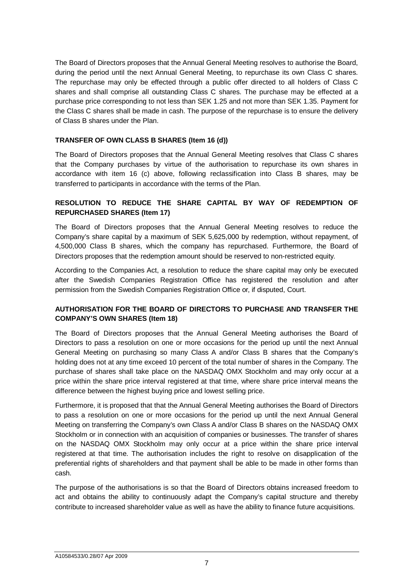The Board of Directors proposes that the Annual General Meeting resolves to authorise the Board, during the period until the next Annual General Meeting, to repurchase its own Class C shares. The repurchase may only be effected through a public offer directed to all holders of Class C shares and shall comprise all outstanding Class C shares. The purchase may be effected at a purchase price corresponding to not less than SEK 1.25 and not more than SEK 1.35. Payment for the Class C shares shall be made in cash. The purpose of the repurchase is to ensure the delivery of Class B shares under the Plan.

## **TRANSFER OF OWN CLASS B SHARES (Item 16 (d))**

The Board of Directors proposes that the Annual General Meeting resolves that Class C shares that the Company purchases by virtue of the authorisation to repurchase its own shares in accordance with item 16 (c) above, following reclassification into Class B shares, may be transferred to participants in accordance with the terms of the Plan.

## **RESOLUTION TO REDUCE THE SHARE CAPITAL BY WAY OF REDEMPTION OF REPURCHASED SHARES (Item 17)**

The Board of Directors proposes that the Annual General Meeting resolves to reduce the Company's share capital by a maximum of SEK 5,625,000 by redemption, without repayment, of 4,500,000 Class B shares, which the company has repurchased. Furthermore, the Board of Directors proposes that the redemption amount should be reserved to non-restricted equity.

According to the Companies Act, a resolution to reduce the share capital may only be executed after the Swedish Companies Registration Office has registered the resolution and after permission from the Swedish Companies Registration Office or, if disputed, Court.

# **AUTHORISATION FOR THE BOARD OF DIRECTORS TO PURCHASE AND TRANSFER THE COMPANY'S OWN SHARES (Item 18)**

The Board of Directors proposes that the Annual General Meeting authorises the Board of Directors to pass a resolution on one or more occasions for the period up until the next Annual General Meeting on purchasing so many Class A and/or Class B shares that the Company's holding does not at any time exceed 10 percent of the total number of shares in the Company. The purchase of shares shall take place on the NASDAQ OMX Stockholm and may only occur at a price within the share price interval registered at that time, where share price interval means the difference between the highest buying price and lowest selling price.

Furthermore, it is proposed that that the Annual General Meeting authorises the Board of Directors to pass a resolution on one or more occasions for the period up until the next Annual General Meeting on transferring the Company's own Class A and/or Class B shares on the NASDAQ OMX Stockholm or in connection with an acquisition of companies or businesses. The transfer of shares on the NASDAQ OMX Stockholm may only occur at a price within the share price interval registered at that time. The authorisation includes the right to resolve on disapplication of the preferential rights of shareholders and that payment shall be able to be made in other forms than cash.

The purpose of the authorisations is so that the Board of Directors obtains increased freedom to act and obtains the ability to continuously adapt the Company's capital structure and thereby contribute to increased shareholder value as well as have the ability to finance future acquisitions.